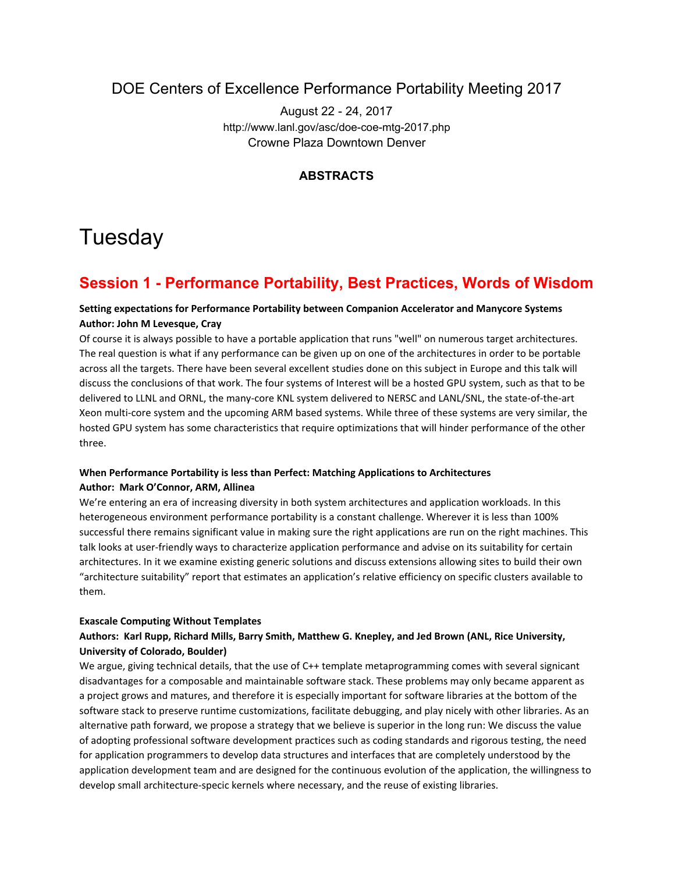## DOE Centers of Excellence Performance Portability Meeting 2017

August 22 - 24, 2017 http://www.lanl.gov/asc/doe-coe-mtg-2017.php Crowne Plaza Downtown Denver

## **ABSTRACTS**

# **Tuesday**

# **Session 1 - Performance Portability, Best Practices, Words of Wisdom**

## **Setting expectations for Performance Portability between Companion Accelerator and Manycore Systems Author: John M Levesque, Cray**

Of course it is always possible to have a portable application that runs "well" on numerous target architectures. The real question is what if any performance can be given up on one of the architectures in order to be portable across all the targets. There have been several excellent studies done on this subject in Europe and this talk will discuss the conclusions of that work. The four systems of Interest will be a hosted GPU system, such as that to be delivered to LLNL and ORNL, the many-core KNL system delivered to NERSC and LANL/SNL, the state-of-the-art Xeon multi-core system and the upcoming ARM based systems. While three of these systems are very similar, the hosted GPU system has some characteristics that require optimizations that will hinder performance of the other three.

## **When Performance Portability is less than Perfect: Matching Applications to Architectures Author: Mark O'Connor, ARM, Allinea**

We're entering an era of increasing diversity in both system architectures and application workloads. In this heterogeneous environment performance portability is a constant challenge. Wherever it is less than 100% successful there remains significant value in making sure the right applications are run on the right machines. This talk looks at user-friendly ways to characterize application performance and advise on its suitability for certain architectures. In it we examine existing generic solutions and discuss extensions allowing sites to build their own "architecture suitability" report that estimates an application's relative efficiency on specific clusters available to them.

## **Exascale Computing Without Templates**

## **Authors: Karl Rupp, Richard Mills, Barry Smith, Matthew G. Knepley, and Jed Brown (ANL, Rice University, University of Colorado, Boulder)**

We argue, giving technical details, that the use of C++ template metaprogramming comes with several signicant disadvantages for a composable and maintainable software stack. These problems may only became apparent as a project grows and matures, and therefore it is especially important for software libraries at the bottom of the software stack to preserve runtime customizations, facilitate debugging, and play nicely with other libraries. As an alternative path forward, we propose a strategy that we believe is superior in the long run: We discuss the value of adopting professional software development practices such as coding standards and rigorous testing, the need for application programmers to develop data structures and interfaces that are completely understood by the application development team and are designed for the continuous evolution of the application, the willingness to develop small architecture-specic kernels where necessary, and the reuse of existing libraries.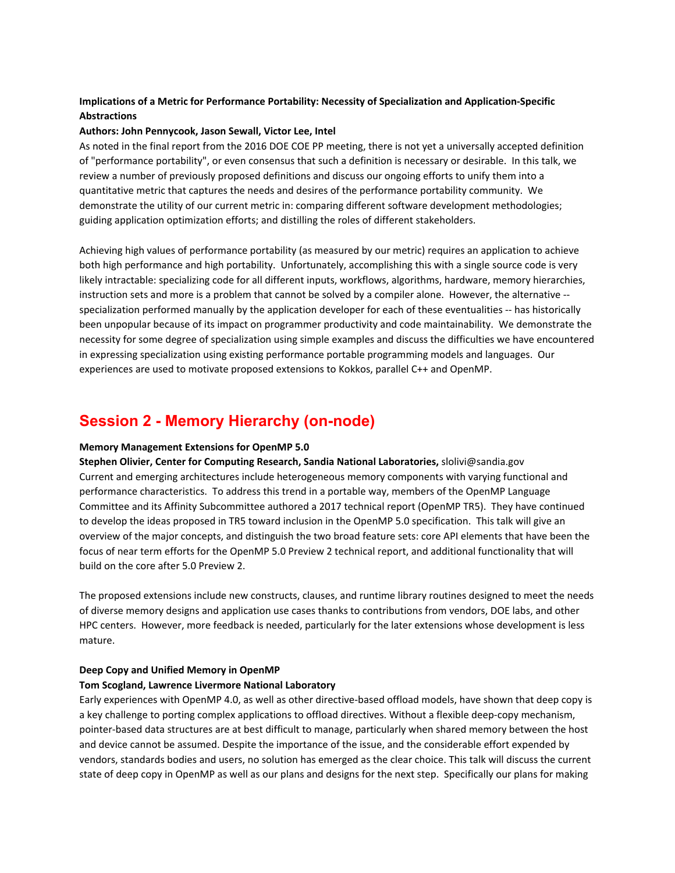## **Implications of a Metric for Performance Portability: Necessity of Specialization and Application-Specific Abstractions**

#### **Authors: John Pennycook, Jason Sewall, Victor Lee, Intel**

As noted in the final report from the 2016 DOE COE PP meeting, there is not yet a universally accepted definition of "performance portability", or even consensus that such a definition is necessary or desirable. In this talk, we review a number of previously proposed definitions and discuss our ongoing efforts to unify them into a quantitative metric that captures the needs and desires of the performance portability community. We demonstrate the utility of our current metric in: comparing different software development methodologies; guiding application optimization efforts; and distilling the roles of different stakeholders.

Achieving high values of performance portability (as measured by our metric) requires an application to achieve both high performance and high portability. Unfortunately, accomplishing this with a single source code is very likely intractable: specializing code for all different inputs, workflows, algorithms, hardware, memory hierarchies, instruction sets and more is a problem that cannot be solved by a compiler alone. However, the alternative - specialization performed manually by the application developer for each of these eventualities -- has historically been unpopular because of its impact on programmer productivity and code maintainability. We demonstrate the necessity for some degree of specialization using simple examples and discuss the difficulties we have encountered in expressing specialization using existing performance portable programming models and languages. Our experiences are used to motivate proposed extensions to Kokkos, parallel C++ and OpenMP.

## **Session 2 - Memory Hierarchy (on-node)**

#### **Memory Management Extensions for OpenMP 5.0**

**Stephen Olivier, Center for Computing Research, Sandia National Laboratories,** slolivi@sandia.gov Current and emerging architectures include heterogeneous memory components with varying functional and performance characteristics. To address this trend in a portable way, members of the OpenMP Language Committee and its Affinity Subcommittee authored a 2017 technical report (OpenMP TR5). They have continued to develop the ideas proposed in TR5 toward inclusion in the OpenMP 5.0 specification. This talk will give an overview of the major concepts, and distinguish the two broad feature sets: core API elements that have been the focus of near term efforts for the OpenMP 5.0 Preview 2 technical report, and additional functionality that will build on the core after 5.0 Preview 2.

The proposed extensions include new constructs, clauses, and runtime library routines designed to meet the needs of diverse memory designs and application use cases thanks to contributions from vendors, DOE labs, and other HPC centers. However, more feedback is needed, particularly for the later extensions whose development is less mature.

#### **Deep Copy and Unified Memory in OpenMP**

#### **Tom Scogland, Lawrence Livermore National Laboratory**

Early experiences with OpenMP 4.0, as well as other directive-based offload models, have shown that deep copy is a key challenge to porting complex applications to offload directives. Without a flexible deep-copy mechanism, pointer-based data structures are at best difficult to manage, particularly when shared memory between the host and device cannot be assumed. Despite the importance of the issue, and the considerable effort expended by vendors, standards bodies and users, no solution has emerged as the clear choice. This talk will discuss the current state of deep copy in OpenMP as well as our plans and designs for the next step. Specifically our plans for making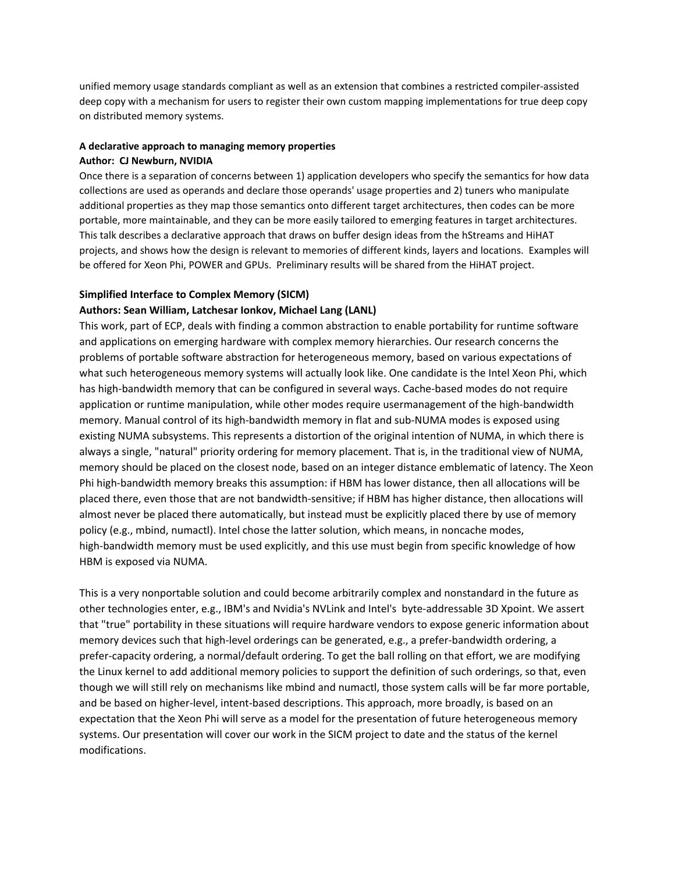unified memory usage standards compliant as well as an extension that combines a restricted compiler-assisted deep copy with a mechanism for users to register their own custom mapping implementations for true deep copy on distributed memory systems.

## **A declarative approach to managing memory properties**

#### **Author: CJ Newburn, NVIDIA**

Once there is a separation of concerns between 1) application developers who specify the semantics for how data collections are used as operands and declare those operands' usage properties and 2) tuners who manipulate additional properties as they map those semantics onto different target architectures, then codes can be more portable, more maintainable, and they can be more easily tailored to emerging features in target architectures. This talk describes a declarative approach that draws on buffer design ideas from the hStreams and HiHAT projects, and shows how the design is relevant to memories of different kinds, layers and locations. Examples will be offered for Xeon Phi, POWER and GPUs. Preliminary results will be shared from the HiHAT project.

## **Simplified Interface to Complex Memory (SICM)**

## **Authors: Sean William, Latchesar Ionkov, Michael Lang (LANL)**

This work, part of ECP, deals with finding a common abstraction to enable portability for runtime software and applications on emerging hardware with complex memory hierarchies. Our research concerns the problems of portable software abstraction for heterogeneous memory, based on various expectations of what such heterogeneous memory systems will actually look like. One candidate is the Intel Xeon Phi, which has high-bandwidth memory that can be configured in several ways. Cache-based modes do not require application or runtime manipulation, while other modes require usermanagement of the high-bandwidth memory. Manual control of its high-bandwidth memory in flat and sub-NUMA modes is exposed using existing NUMA subsystems. This represents a distortion of the original intention of NUMA, in which there is always a single, "natural" priority ordering for memory placement. That is, in the traditional view of NUMA, memory should be placed on the closest node, based on an integer distance emblematic of latency. The Xeon Phi high-bandwidth memory breaks this assumption: if HBM has lower distance, then all allocations will be placed there, even those that are not bandwidth-sensitive; if HBM has higher distance, then allocations will almost never be placed there automatically, but instead must be explicitly placed there by use of memory policy (e.g., mbind, numactl). Intel chose the latter solution, which means, in noncache modes, high-bandwidth memory must be used explicitly, and this use must begin from specific knowledge of how HBM is exposed via NUMA.

This is a very nonportable solution and could become arbitrarily complex and nonstandard in the future as other technologies enter, e.g., IBM's and Nvidia's NVLink and Intel's byte-addressable 3D Xpoint. We assert that "true" portability in these situations will require hardware vendors to expose generic information about memory devices such that high-level orderings can be generated, e.g., a prefer-bandwidth ordering, a prefer-capacity ordering, a normal/default ordering. To get the ball rolling on that effort, we are modifying the Linux kernel to add additional memory policies to support the definition of such orderings, so that, even though we will still rely on mechanisms like mbind and numactl, those system calls will be far more portable, and be based on higher-level, intent-based descriptions. This approach, more broadly, is based on an expectation that the Xeon Phi will serve as a model for the presentation of future heterogeneous memory systems. Our presentation will cover our work in the SICM project to date and the status of the kernel modifications.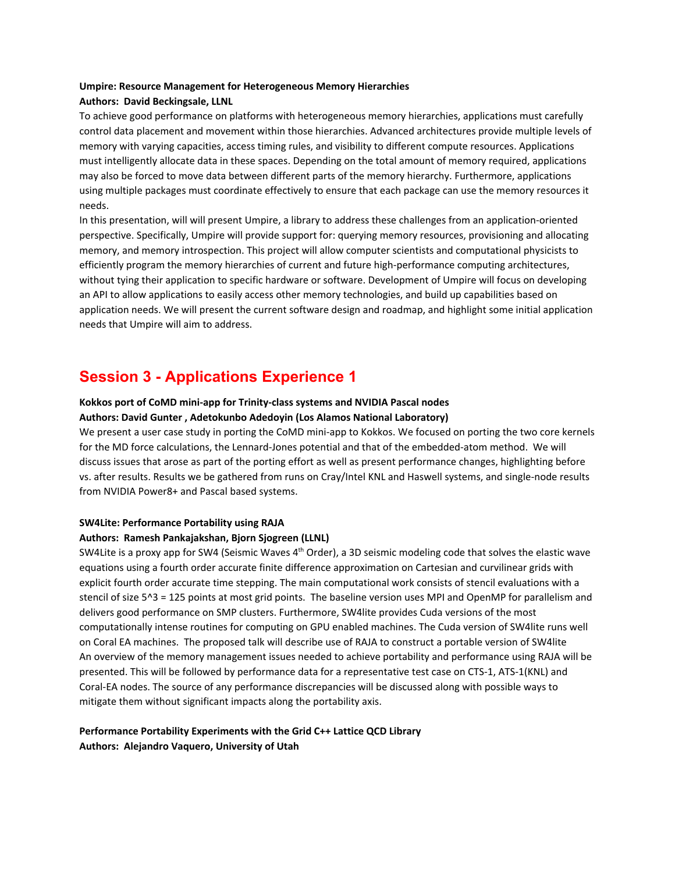## **Umpire: Resource Management for Heterogeneous Memory Hierarchies Authors: David Beckingsale, LLNL**

To achieve good performance on platforms with heterogeneous memory hierarchies, applications must carefully control data placement and movement within those hierarchies. Advanced architectures provide multiple levels of memory with varying capacities, access timing rules, and visibility to different compute resources. Applications must intelligently allocate data in these spaces. Depending on the total amount of memory required, applications may also be forced to move data between different parts of the memory hierarchy. Furthermore, applications using multiple packages must coordinate effectively to ensure that each package can use the memory resources it needs.

In this presentation, will will present Umpire, a library to address these challenges from an application-oriented perspective. Specifically, Umpire will provide support for: querying memory resources, provisioning and allocating memory, and memory introspection. This project will allow computer scientists and computational physicists to efficiently program the memory hierarchies of current and future high-performance computing architectures, without tying their application to specific hardware or software. Development of Umpire will focus on developing an API to allow applications to easily access other memory technologies, and build up capabilities based on application needs. We will present the current software design and roadmap, and highlight some initial application needs that Umpire will aim to address.

# **Session 3 - Applications Experience 1**

## **Kokkos port of CoMD mini-app for Trinity-class systems and NVIDIA Pascal nodes Authors: David Gunter , Adetokunbo Adedoyin (Los Alamos National Laboratory)**

We present a user case study in porting the CoMD mini-app to Kokkos. We focused on porting the two core kernels for the MD force calculations, the Lennard-Jones potential and that of the embedded-atom method. We will discuss issues that arose as part of the porting effort as well as present performance changes, highlighting before vs. after results. Results we be gathered from runs on Cray/Intel KNL and Haswell systems, and single-node results from NVIDIA Power8+ and Pascal based systems.

## **SW4Lite: Performance Portability using RAJA**

## **Authors: Ramesh Pankajakshan, Bjorn Sjogreen (LLNL)**

SW4Lite is a proxy app for SW4 (Seismic Waves 4<sup>th</sup> Order), a 3D seismic modeling code that solves the elastic wave equations using a fourth order accurate finite difference approximation on Cartesian and curvilinear grids with explicit fourth order accurate time stepping. The main computational work consists of stencil evaluations with a stencil of size 5^3 = 125 points at most grid points. The baseline version uses MPI and OpenMP for parallelism and delivers good performance on SMP clusters. Furthermore, SW4lite provides Cuda versions of the most computationally intense routines for computing on GPU enabled machines. The Cuda version of SW4lite runs well on Coral EA machines. The proposed talk will describe use of RAJA to construct a portable version of SW4lite An overview of the memory management issues needed to achieve portability and performance using RAJA will be presented. This will be followed by performance data for a representative test case on CTS-1, ATS-1(KNL) and Coral-EA nodes. The source of any performance discrepancies will be discussed along with possible ways to mitigate them without significant impacts along the portability axis.

## **Performance Portability Experiments with the Grid C++ Lattice QCD Library Authors: Alejandro Vaquero, University of Utah**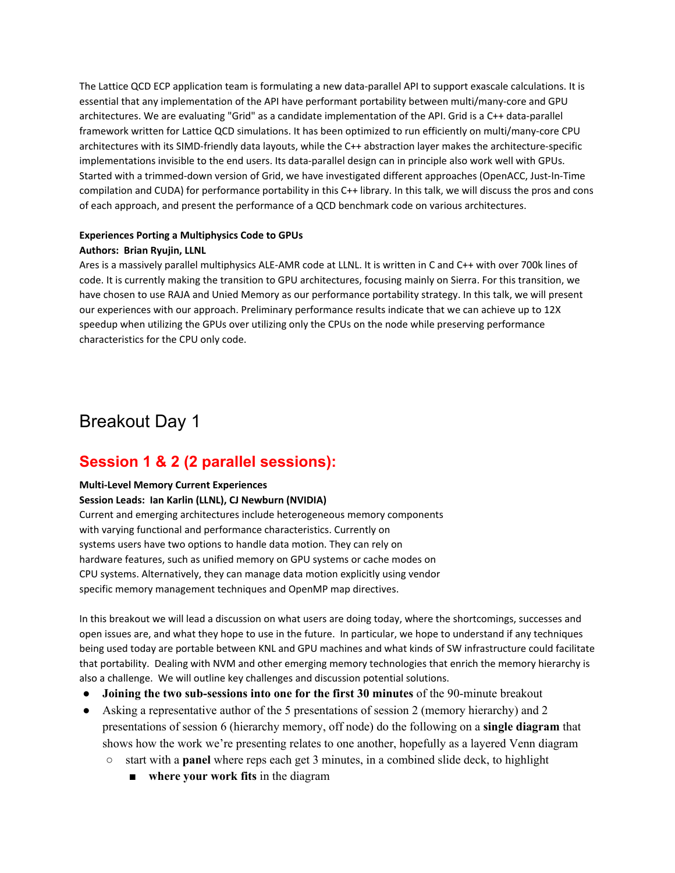The Lattice QCD ECP application team is formulating a new data-parallel API to support exascale calculations. It is essential that any implementation of the API have performant portability between multi/many-core and GPU architectures. We are evaluating "Grid" as a candidate implementation of the API. Grid is a C++ data-parallel framework written for Lattice QCD simulations. It has been optimized to run efficiently on multi/many-core CPU architectures with its SIMD-friendly data layouts, while the C++ abstraction layer makes the architecture-specific implementations invisible to the end users. Its data-parallel design can in principle also work well with GPUs. Started with a trimmed-down version of Grid, we have investigated different approaches (OpenACC, Just-In-Time compilation and CUDA) for performance portability in this C++ library. In this talk, we will discuss the pros and cons of each approach, and present the performance of a QCD benchmark code on various architectures.

## **Experiences Porting a Multiphysics Code to GPUs Authors: Brian Ryujin, LLNL**

Ares is a massively parallel multiphysics ALE-AMR code at LLNL. It is written in C and C++ with over 700k lines of code. It is currently making the transition to GPU architectures, focusing mainly on Sierra. For this transition, we have chosen to use RAJA and Unied Memory as our performance portability strategy. In this talk, we will present our experiences with our approach. Preliminary performance results indicate that we can achieve up to 12X speedup when utilizing the GPUs over utilizing only the CPUs on the node while preserving performance characteristics for the CPU only code.

# Breakout Day 1

# **Session 1 & 2 (2 parallel sessions):**

## **Multi-Level Memory Current Experiences**

## **Session Leads: Ian Karlin (LLNL), CJ Newburn (NVIDIA)**

Current and emerging architectures include heterogeneous memory components with varying functional and performance characteristics. Currently on systems users have two options to handle data motion. They can rely on hardware features, such as unified memory on GPU systems or cache modes on CPU systems. Alternatively, they can manage data motion explicitly using vendor specific memory management techniques and OpenMP map directives.

In this breakout we will lead a discussion on what users are doing today, where the shortcomings, successes and open issues are, and what they hope to use in the future. In particular, we hope to understand if any techniques being used today are portable between KNL and GPU machines and what kinds of SW infrastructure could facilitate that portability. Dealing with NVM and other emerging memory technologies that enrich the memory hierarchy is also a challenge. We will outline key challenges and discussion potential solutions.

- **Joining the two sub-sessions into one for the first 30 minutes** of the 90-minute breakout
- Asking a representative author of the 5 presentations of session 2 (memory hierarchy) and 2 presentations of session 6 (hierarchy memory, off node) do the following on a **single diagram** that shows how the work we're presenting relates to one another, hopefully as a layered Venn diagram
	- start with a **panel** where reps each get 3 minutes, in a combined slide deck, to highlight
		- **where your work fits** in the diagram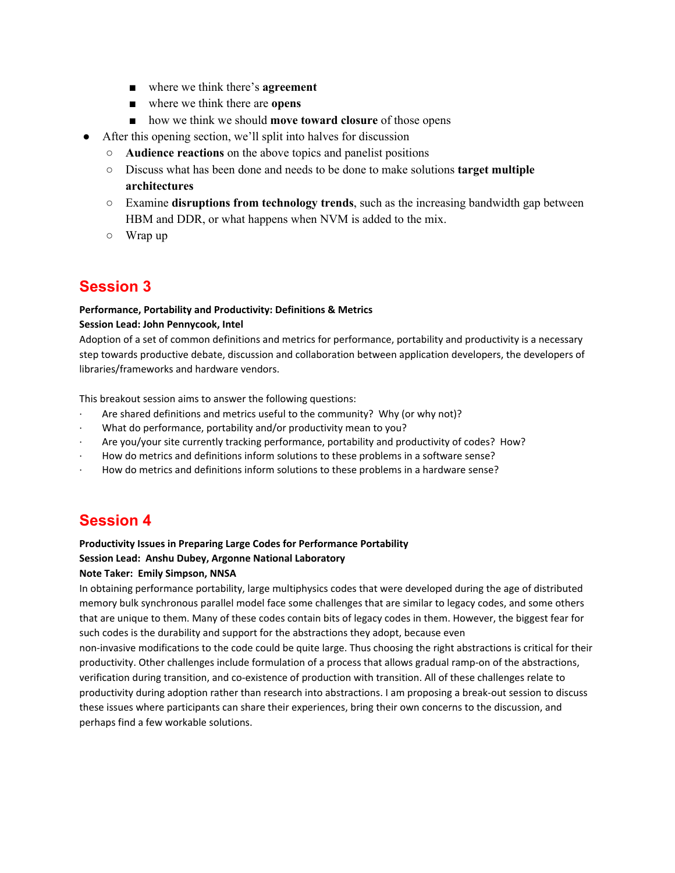- where we think there's **agreement**
- where we think there are **opens**
- how we think we should **move toward closure** of those opens
- After this opening section, we'll split into halves for discussion
	- Audience **reactions** on the above topics and panelist positions
	- Discuss what has been done and needs to be done to make solutions **target multiple architectures**
	- Examine **disruptions from technology trends**, such as the increasing bandwidth gap between HBM and DDR, or what happens when NVM is added to the mix.
	- Wrap up

# **Session 3**

## **Performance, Portability and Productivity: Definitions & Metrics Session Lead: John Pennycook, Intel**

Adoption of a set of common definitions and metrics for performance, portability and productivity is a necessary step towards productive debate, discussion and collaboration between application developers, the developers of libraries/frameworks and hardware vendors.

This breakout session aims to answer the following questions:

- Are shared definitions and metrics useful to the community? Why (or why not)?
- · What do performance, portability and/or productivity mean to you?
- Are you/your site currently tracking performance, portability and productivity of codes? How?
- · How do metrics and definitions inform solutions to these problems in a software sense?
- · How do metrics and definitions inform solutions to these problems in a hardware sense?

## **Session 4**

# **Productivity Issues in Preparing Large Codes for Performance Portability Session Lead: Anshu Dubey, Argonne National Laboratory**

## **Note Taker: Emily Simpson, NNSA**

In obtaining performance portability, large multiphysics codes that were developed during the age of distributed memory bulk synchronous parallel model face some challenges that are similar to legacy codes, and some others that are unique to them. Many of these codes contain bits of legacy codes in them. However, the biggest fear for such codes is the durability and support for the abstractions they adopt, because even

non-invasive modifications to the code could be quite large. Thus choosing the right abstractions is critical for their productivity. Other challenges include formulation of a process that allows gradual ramp-on of the abstractions, verification during transition, and co-existence of production with transition. All of these challenges relate to productivity during adoption rather than research into abstractions. I am proposing a break-out session to discuss these issues where participants can share their experiences, bring their own concerns to the discussion, and perhaps find a few workable solutions.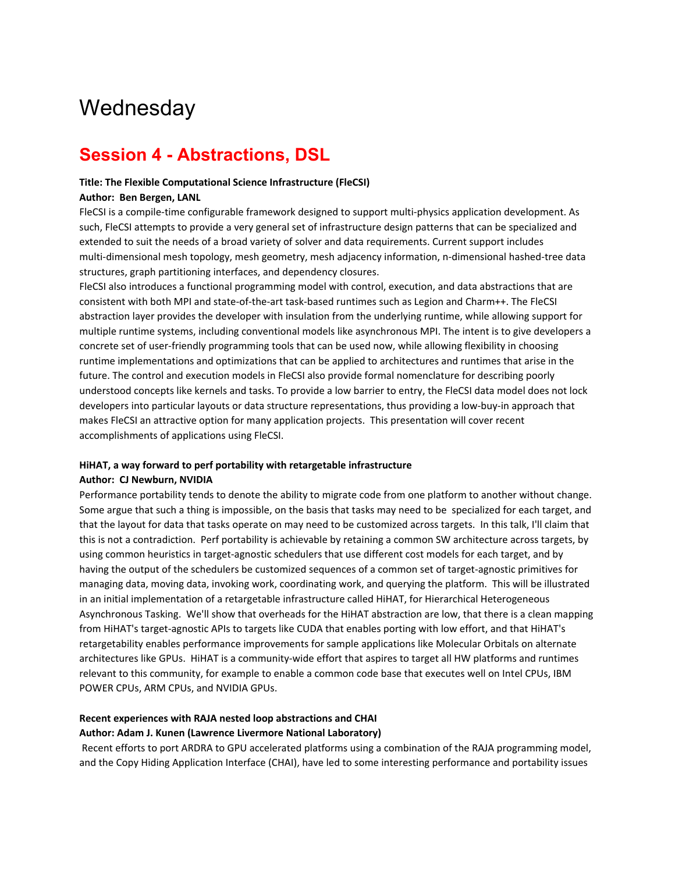# **Wednesday**

# **Session 4 - Abstractions, DSL**

# **Title: The Flexible Computational Science Infrastructure (FleCSI)**

#### **Author: Ben Bergen, LANL**

FleCSI is a compile-time configurable framework designed to support multi-physics application development. As such, FleCSI attempts to provide a very general set of infrastructure design patterns that can be specialized and extended to suit the needs of a broad variety of solver and data requirements. Current support includes multi-dimensional mesh topology, mesh geometry, mesh adjacency information, n-dimensional hashed-tree data structures, graph partitioning interfaces, and dependency closures.

FleCSI also introduces a functional programming model with control, execution, and data abstractions that are consistent with both MPI and state-of-the-art task-based runtimes such as Legion and Charm++. The FleCSI abstraction layer provides the developer with insulation from the underlying runtime, while allowing support for multiple runtime systems, including conventional models like asynchronous MPI. The intent is to give developers a concrete set of user-friendly programming tools that can be used now, while allowing flexibility in choosing runtime implementations and optimizations that can be applied to architectures and runtimes that arise in the future. The control and execution models in FleCSI also provide formal nomenclature for describing poorly understood concepts like kernels and tasks. To provide a low barrier to entry, the FleCSI data model does not lock developers into particular layouts or data structure representations, thus providing a low-buy-in approach that makes FleCSI an attractive option for many application projects. This presentation will cover recent accomplishments of applications using FleCSI.

## **HiHAT, a way forward to perf portability with retargetable infrastructure Author: CJ Newburn, NVIDIA**

Performance portability tends to denote the ability to migrate code from one platform to another without change. Some argue that such a thing is impossible, on the basis that tasks may need to be specialized for each target, and that the layout for data that tasks operate on may need to be customized across targets. In this talk, I'll claim that this is not a contradiction. Perf portability is achievable by retaining a common SW architecture across targets, by using common heuristics in target-agnostic schedulers that use different cost models for each target, and by having the output of the schedulers be customized sequences of a common set of target-agnostic primitives for managing data, moving data, invoking work, coordinating work, and querying the platform. This will be illustrated in an initial implementation of a retargetable infrastructure called HiHAT, for Hierarchical Heterogeneous Asynchronous Tasking. We'll show that overheads for the HiHAT abstraction are low, that there is a clean mapping from HiHAT's target-agnostic APIs to targets like CUDA that enables porting with low effort, and that HiHAT's retargetability enables performance improvements for sample applications like Molecular Orbitals on alternate architectures like GPUs. HiHAT is a community-wide effort that aspires to target all HW platforms and runtimes relevant to this community, for example to enable a common code base that executes well on Intel CPUs, IBM POWER CPUs, ARM CPUs, and NVIDIA GPUs.

## **Recent experiences with RAJA nested loop abstractions and CHAI Author: Adam J. Kunen (Lawrence Livermore National Laboratory)**

Recent efforts to port ARDRA to GPU accelerated platforms using a combination of the RAJA programming model, and the Copy Hiding Application Interface (CHAI), have led to some interesting performance and portability issues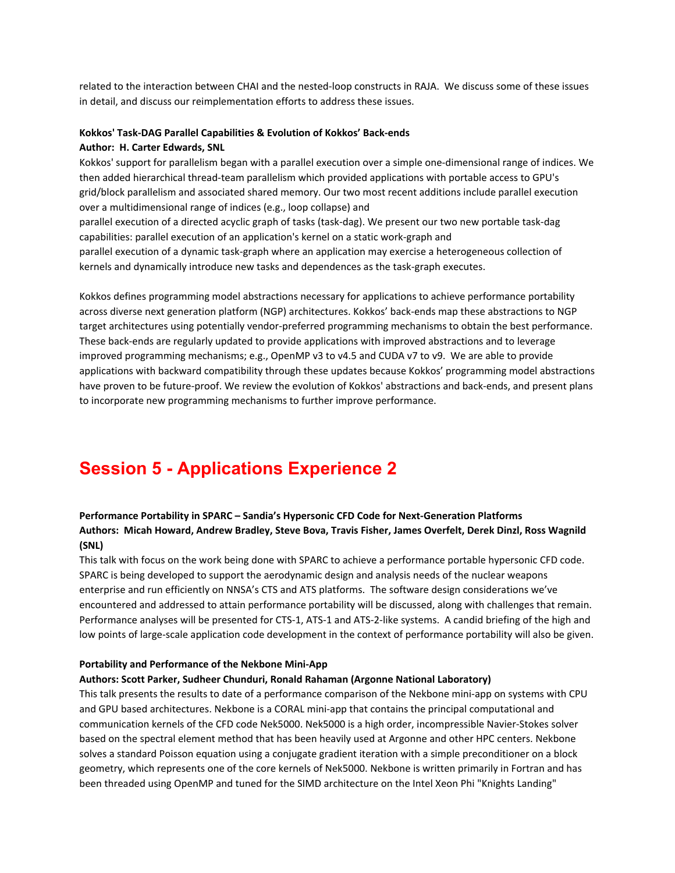related to the interaction between CHAI and the nested-loop constructs in RAJA. We discuss some of these issues in detail, and discuss our reimplementation efforts to address these issues.

#### **Kokkos' Task-DAG Parallel Capabilities & Evolution of Kokkos' Back-ends Author: H. Carter Edwards, SNL**

Kokkos' support for parallelism began with a parallel execution over a simple one-dimensional range of indices. We then added hierarchical thread-team parallelism which provided applications with portable access to GPU's grid/block parallelism and associated shared memory. Our two most recent additions include parallel execution over a multidimensional range of indices (e.g., loop collapse) and parallel execution of a directed acyclic graph of tasks (task-dag). We present our two new portable task-dag capabilities: parallel execution of an application's kernel on a static work-graph and parallel execution of a dynamic task-graph where an application may exercise a heterogeneous collection of kernels and dynamically introduce new tasks and dependences as the task-graph executes.

Kokkos defines programming model abstractions necessary for applications to achieve performance portability across diverse next generation platform (NGP) architectures. Kokkos' back-ends map these abstractions to NGP target architectures using potentially vendor-preferred programming mechanisms to obtain the best performance. These back-ends are regularly updated to provide applications with improved abstractions and to leverage improved programming mechanisms; e.g., OpenMP v3 to v4.5 and CUDA v7 to v9. We are able to provide applications with backward compatibility through these updates because Kokkos' programming model abstractions have proven to be future-proof. We review the evolution of Kokkos' abstractions and back-ends, and present plans to incorporate new programming mechanisms to further improve performance.

# **Session 5 - Applications Experience 2**

## **Performance Portability in SPARC – Sandia's Hypersonic CFD Code for Next-Generation Platforms Authors: Micah Howard, Andrew Bradley, Steve Bova, Travis Fisher, James Overfelt, Derek Dinzl, Ross Wagnild (SNL)**

This talk with focus on the work being done with SPARC to achieve a performance portable hypersonic CFD code. SPARC is being developed to support the aerodynamic design and analysis needs of the nuclear weapons enterprise and run efficiently on NNSA's CTS and ATS platforms. The software design considerations we've encountered and addressed to attain performance portability will be discussed, along with challenges that remain. Performance analyses will be presented for CTS-1, ATS-1 and ATS-2-like systems. A candid briefing of the high and low points of large-scale application code development in the context of performance portability will also be given.

#### **Portability and Performance of the Nekbone Mini-App**

#### **Authors: Scott Parker, Sudheer Chunduri, Ronald Rahaman (Argonne National Laboratory)**

This talk presents the results to date of a performance comparison of the Nekbone mini-app on systems with CPU and GPU based architectures. Nekbone is a CORAL mini-app that contains the principal computational and communication kernels of the CFD code Nek5000. Nek5000 is a high order, incompressible Navier-Stokes solver based on the spectral element method that has been heavily used at Argonne and other HPC centers. Nekbone solves a standard Poisson equation using a conjugate gradient iteration with a simple preconditioner on a block geometry, which represents one of the core kernels of Nek5000. Nekbone is written primarily in Fortran and has been threaded using OpenMP and tuned for the SIMD architecture on the Intel Xeon Phi "Knights Landing"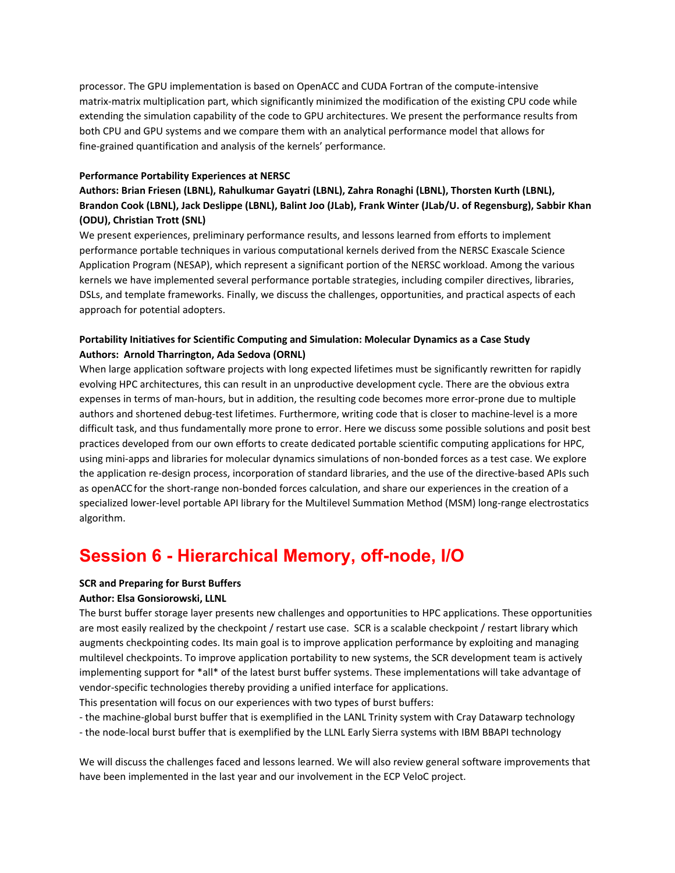processor. The GPU implementation is based on OpenACC and CUDA Fortran of the compute-intensive matrix-matrix multiplication part, which significantly minimized the modification of the existing CPU code while extending the simulation capability of the code to GPU architectures. We present the performance results from both CPU and GPU systems and we compare them with an analytical performance model that allows for fine-grained quantification and analysis of the kernels' performance.

#### **Performance Portability Experiences at NERSC**

**Authors: Brian Friesen (LBNL), Rahulkumar Gayatri (LBNL), Zahra Ronaghi (LBNL), Thorsten Kurth (LBNL), Brandon Cook (LBNL), Jack Deslippe (LBNL), Balint Joo (JLab), Frank Winter (JLab/U. of Regensburg), Sabbir Khan (ODU), Christian Trott (SNL)**

We present experiences, preliminary performance results, and lessons learned from efforts to implement performance portable techniques in various computational kernels derived from the NERSC Exascale Science Application Program (NESAP), which represent a significant portion of the NERSC workload. Among the various kernels we have implemented several performance portable strategies, including compiler directives, libraries, DSLs, and template frameworks. Finally, we discuss the challenges, opportunities, and practical aspects of each approach for potential adopters.

## **Portability Initiatives for Scientific Computing and Simulation: Molecular Dynamics as a Case Study Authors: Arnold Tharrington, Ada Sedova (ORNL)**

When large application software projects with long expected lifetimes must be significantly rewritten for rapidly evolving HPC architectures, this can result in an unproductive development cycle. There are the obvious extra expenses in terms of man-hours, but in addition, the resulting code becomes more error-prone due to multiple authors and shortened debug-test lifetimes. Furthermore, writing code that is closer to machine-level is a more difficult task, and thus fundamentally more prone to error. Here we discuss some possible solutions and posit best practices developed from our own efforts to create dedicated portable scientific computing applications for HPC, using mini-apps and libraries for molecular dynamics simulations of non-bonded forces as a test case. We explore the application re-design process, incorporation of standard libraries, and the use of the directive-based APIs such as openACC for the short-range non-bonded forces calculation, and share our experiences in the creation of a specialized lower-level portable API library for the Multilevel Summation Method (MSM) long-range electrostatics algorithm.

# **Session 6 - Hierarchical Memory, off-node, I/O**

## **SCR and Preparing for Burst Buffers**

## **Author: Elsa Gonsiorowski, LLNL**

The burst buffer storage layer presents new challenges and opportunities to HPC applications. These opportunities are most easily realized by the checkpoint / restart use case. SCR is a scalable checkpoint / restart library which augments checkpointing codes. Its main goal is to improve application performance by exploiting and managing multilevel checkpoints. To improve application portability to new systems, the SCR development team is actively implementing support for \*all\* of the latest burst buffer systems. These implementations will take advantage of vendor-specific technologies thereby providing a unified interface for applications.

This presentation will focus on our experiences with two types of burst buffers:

- the machine-global burst buffer that is exemplified in the LANL Trinity system with Cray Datawarp technology

- the node-local burst buffer that is exemplified by the LLNL Early Sierra systems with IBM BBAPI technology

We will discuss the challenges faced and lessons learned. We will also review general software improvements that have been implemented in the last year and our involvement in the ECP VeloC project.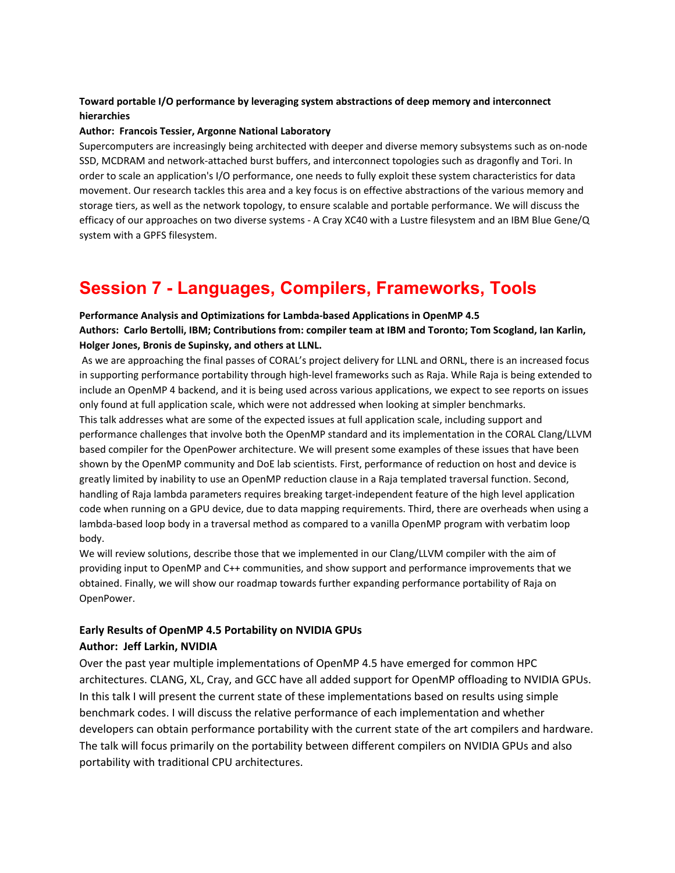## **Toward portable I/O performance by leveraging system abstractions of deep memory and interconnect hierarchies**

#### **Author: Francois Tessier, Argonne National Laboratory**

Supercomputers are increasingly being architected with deeper and diverse memory subsystems such as on-node SSD, MCDRAM and network-attached burst buffers, and interconnect topologies such as dragonfly and Tori. In order to scale an application's I/O performance, one needs to fully exploit these system characteristics for data movement. Our research tackles this area and a key focus is on effective abstractions of the various memory and storage tiers, as well as the network topology, to ensure scalable and portable performance. We will discuss the efficacy of our approaches on two diverse systems - A Cray XC40 with a Lustre filesystem and an IBM Blue Gene/Q system with a GPFS filesystem.

# **Session 7 - Languages, Compilers, Frameworks, Tools**

## **Performance Analysis and Optimizations for Lambda-based Applications in OpenMP 4.5 Authors: Carlo Bertolli, IBM; Contributions from: compiler team at IBM and Toronto; Tom Scogland, Ian Karlin, Holger Jones, Bronis de Supinsky, and others at LLNL.**

As we are approaching the final passes of CORAL's project delivery for LLNL and ORNL, there is an increased focus in supporting performance portability through high-level frameworks such as Raja. While Raja is being extended to include an OpenMP 4 backend, and it is being used across various applications, we expect to see reports on issues only found at full application scale, which were not addressed when looking at simpler benchmarks. This talk addresses what are some of the expected issues at full application scale, including support and performance challenges that involve both the OpenMP standard and its implementation in the CORAL Clang/LLVM based compiler for the OpenPower architecture. We will present some examples of these issues that have been shown by the OpenMP community and DoE lab scientists. First, performance of reduction on host and device is greatly limited by inability to use an OpenMP reduction clause in a Raja templated traversal function. Second, handling of Raja lambda parameters requires breaking target-independent feature of the high level application code when running on a GPU device, due to data mapping requirements. Third, there are overheads when using a lambda-based loop body in a traversal method as compared to a vanilla OpenMP program with verbatim loop body.

We will review solutions, describe those that we implemented in our Clang/LLVM compiler with the aim of providing input to OpenMP and C++ communities, and show support and performance improvements that we obtained. Finally, we will show our roadmap towards further expanding performance portability of Raja on OpenPower.

## **Early Results of OpenMP 4.5 Portability on NVIDIA GPUs Author: Jeff Larkin, NVIDIA**

Over the past year multiple implementations of OpenMP 4.5 have emerged for common HPC architectures. CLANG, XL, Cray, and GCC have all added support for OpenMP offloading to NVIDIA GPUs. In this talk I will present the current state of these implementations based on results using simple benchmark codes. I will discuss the relative performance of each implementation and whether developers can obtain performance portability with the current state of the art compilers and hardware. The talk will focus primarily on the portability between different compilers on NVIDIA GPUs and also portability with traditional CPU architectures.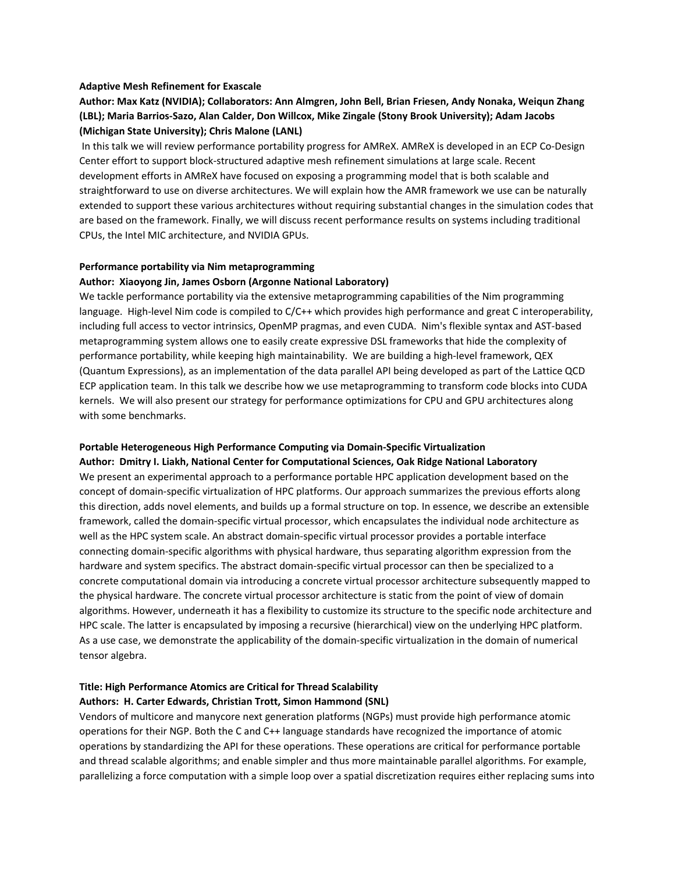#### **Adaptive Mesh Refinement for Exascale**

## **Author: Max Katz (NVIDIA); Collaborators: Ann Almgren, John Bell, Brian Friesen, Andy Nonaka, Weiqun Zhang (LBL); Maria Barrios-Sazo, Alan Calder, Don Willcox, Mike Zingale (Stony Brook University); Adam Jacobs (Michigan State University); Chris Malone (LANL)**

In this talk we will review performance portability progress for AMReX. AMReX is developed in an ECP Co-Design Center effort to support block-structured adaptive mesh refinement simulations at large scale. Recent development efforts in AMReX have focused on exposing a programming model that is both scalable and straightforward to use on diverse architectures. We will explain how the AMR framework we use can be naturally extended to support these various architectures without requiring substantial changes in the simulation codes that are based on the framework. Finally, we will discuss recent performance results on systems including traditional CPUs, the Intel MIC architecture, and NVIDIA GPUs.

## **Performance portability via Nim metaprogramming Author: Xiaoyong Jin, James Osborn (Argonne National Laboratory)**

We tackle performance portability via the extensive metaprogramming capabilities of the Nim programming language. High-level Nim code is compiled to C/C++ which provides high performance and great C interoperability, including full access to vector intrinsics, OpenMP pragmas, and even CUDA. Nim's flexible syntax and AST-based metaprogramming system allows one to easily create expressive DSL frameworks that hide the complexity of performance portability, while keeping high maintainability. We are building a high-level framework, QEX (Quantum Expressions), as an implementation of the data parallel API being developed as part of the Lattice QCD ECP application team. In this talk we describe how we use metaprogramming to transform code blocks into CUDA kernels. We will also present our strategy for performance optimizations for CPU and GPU architectures along with some benchmarks.

#### **Portable Heterogeneous High Performance Computing via Domain-Specific Virtualization**

**Author: Dmitry I. Liakh, National Center for Computational Sciences, Oak Ridge National Laboratory** We present an experimental approach to a performance portable HPC application development based on the concept of domain-specific virtualization of HPC platforms. Our approach summarizes the previous efforts along this direction, adds novel elements, and builds up a formal structure on top. In essence, we describe an extensible framework, called the domain-specific virtual processor, which encapsulates the individual node architecture as well as the HPC system scale. An abstract domain-specific virtual processor provides a portable interface connecting domain-specific algorithms with physical hardware, thus separating algorithm expression from the hardware and system specifics. The abstract domain-specific virtual processor can then be specialized to a concrete computational domain via introducing a concrete virtual processor architecture subsequently mapped to the physical hardware. The concrete virtual processor architecture is static from the point of view of domain algorithms. However, underneath it has a flexibility to customize its structure to the specific node architecture and HPC scale. The latter is encapsulated by imposing a recursive (hierarchical) view on the underlying HPC platform. As a use case, we demonstrate the applicability of the domain-specific virtualization in the domain of numerical tensor algebra.

## **Title: High Performance Atomics are Critical for Thread Scalability Authors: H. Carter Edwards, Christian Trott, Simon Hammond (SNL)**

Vendors of multicore and manycore next generation platforms (NGPs) must provide high performance atomic operations for their NGP. Both the C and C++ language standards have recognized the importance of atomic operations by standardizing the API for these operations. These operations are critical for performance portable and thread scalable algorithms; and enable simpler and thus more maintainable parallel algorithms. For example, parallelizing a force computation with a simple loop over a spatial discretization requires either replacing sums into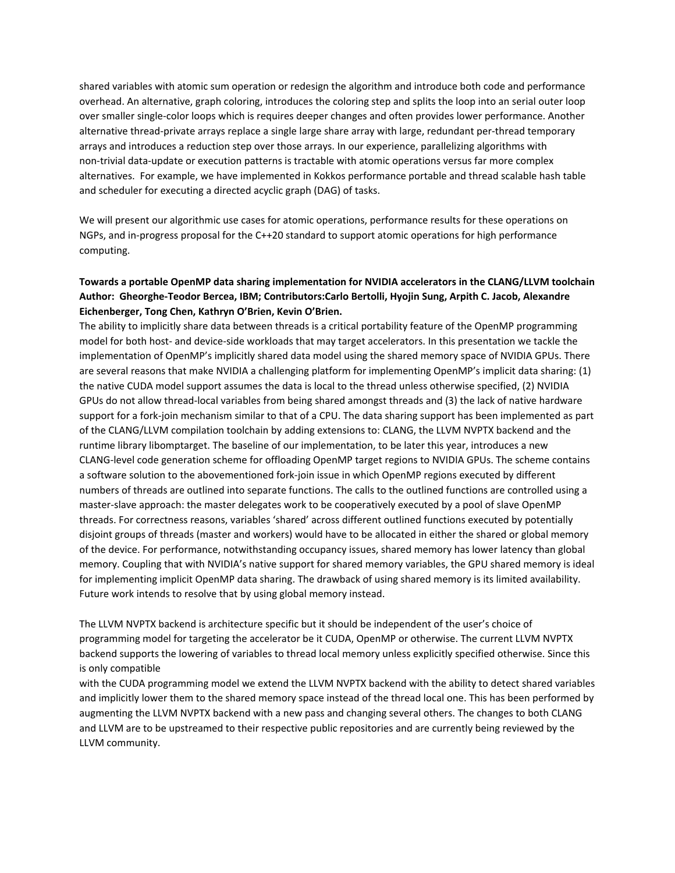shared variables with atomic sum operation or redesign the algorithm and introduce both code and performance overhead. An alternative, graph coloring, introduces the coloring step and splits the loop into an serial outer loop over smaller single-color loops which is requires deeper changes and often provides lower performance. Another alternative thread-private arrays replace a single large share array with large, redundant per-thread temporary arrays and introduces a reduction step over those arrays. In our experience, parallelizing algorithms with non-trivial data-update or execution patterns is tractable with atomic operations versus far more complex alternatives. For example, we have implemented in Kokkos performance portable and thread scalable hash table and scheduler for executing a directed acyclic graph (DAG) of tasks.

We will present our algorithmic use cases for atomic operations, performance results for these operations on NGPs, and in-progress proposal for the C++20 standard to support atomic operations for high performance computing.

## **Towards a portable OpenMP data sharing implementation for NVIDIA accelerators in the CLANG/LLVM toolchain Author: Gheorghe-Teodor Bercea, IBM; Contributors:Carlo Bertolli, Hyojin Sung, Arpith C. Jacob, Alexandre Eichenberger, Tong Chen, Kathryn O'Brien, Kevin O'Brien.**

The ability to implicitly share data between threads is a critical portability feature of the OpenMP programming model for both host- and device-side workloads that may target accelerators. In this presentation we tackle the implementation of OpenMP's implicitly shared data model using the shared memory space of NVIDIA GPUs. There are several reasons that make NVIDIA a challenging platform for implementing OpenMP's implicit data sharing: (1) the native CUDA model support assumes the data is local to the thread unless otherwise specified, (2) NVIDIA GPUs do not allow thread-local variables from being shared amongst threads and (3) the lack of native hardware support for a fork-join mechanism similar to that of a CPU. The data sharing support has been implemented as part of the CLANG/LLVM compilation toolchain by adding extensions to: CLANG, the LLVM NVPTX backend and the runtime library libomptarget. The baseline of our implementation, to be later this year, introduces a new CLANG-level code generation scheme for offloading OpenMP target regions to NVIDIA GPUs. The scheme contains a software solution to the abovementioned fork-join issue in which OpenMP regions executed by different numbers of threads are outlined into separate functions. The calls to the outlined functions are controlled using a master-slave approach: the master delegates work to be cooperatively executed by a pool of slave OpenMP threads. For correctness reasons, variables 'shared' across different outlined functions executed by potentially disjoint groups of threads (master and workers) would have to be allocated in either the shared or global memory of the device. For performance, notwithstanding occupancy issues, shared memory has lower latency than global memory. Coupling that with NVIDIA's native support for shared memory variables, the GPU shared memory is ideal for implementing implicit OpenMP data sharing. The drawback of using shared memory is its limited availability. Future work intends to resolve that by using global memory instead.

The LLVM NVPTX backend is architecture specific but it should be independent of the user's choice of programming model for targeting the accelerator be it CUDA, OpenMP or otherwise. The current LLVM NVPTX backend supports the lowering of variables to thread local memory unless explicitly specified otherwise. Since this is only compatible

with the CUDA programming model we extend the LLVM NVPTX backend with the ability to detect shared variables and implicitly lower them to the shared memory space instead of the thread local one. This has been performed by augmenting the LLVM NVPTX backend with a new pass and changing several others. The changes to both CLANG and LLVM are to be upstreamed to their respective public repositories and are currently being reviewed by the LLVM community.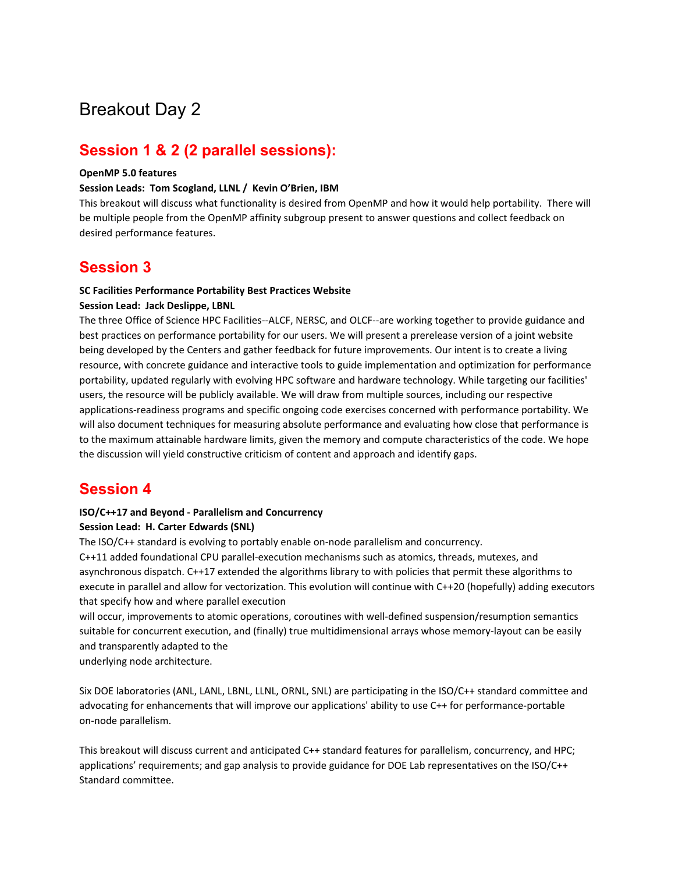# Breakout Day 2

# **Session 1 & 2 (2 parallel sessions):**

#### **OpenMP 5.0 features**

#### **Session Leads: Tom Scogland, LLNL / Kevin O'Brien, IBM**

This breakout will discuss what functionality is desired from OpenMP and how it would help portability. There will be multiple people from the OpenMP affinity subgroup present to answer questions and collect feedback on desired performance features.

## **Session 3**

## **SC Facilities Performance Portability Best Practices Website**

## **Session Lead: Jack Deslippe, LBNL**

The three Office of Science HPC Facilities--ALCF, NERSC, and OLCF--are working together to provide guidance and best practices on performance portability for our users. We will present a prerelease version of a joint website being developed by the Centers and gather feedback for future improvements. Our intent is to create a living resource, with concrete guidance and interactive tools to guide implementation and optimization for performance portability, updated regularly with evolving HPC software and hardware technology. While targeting our facilities' users, the resource will be publicly available. We will draw from multiple sources, including our respective applications-readiness programs and specific ongoing code exercises concerned with performance portability. We will also document techniques for measuring absolute performance and evaluating how close that performance is to the maximum attainable hardware limits, given the memory and compute characteristics of the code. We hope the discussion will yield constructive criticism of content and approach and identify gaps.

## **Session 4**

## **ISO/C++17 and Beyond - Parallelism and Concurrency Session Lead: H. Carter Edwards (SNL)**

The ISO/C++ standard is evolving to portably enable on-node parallelism and concurrency.

C++11 added foundational CPU parallel-execution mechanisms such as atomics, threads, mutexes, and asynchronous dispatch. C++17 extended the algorithms library to with policies that permit these algorithms to execute in parallel and allow for vectorization. This evolution will continue with C++20 (hopefully) adding executors that specify how and where parallel execution

will occur, improvements to atomic operations, coroutines with well-defined suspension/resumption semantics suitable for concurrent execution, and (finally) true multidimensional arrays whose memory-layout can be easily and transparently adapted to the

underlying node architecture.

Six DOE laboratories (ANL, LANL, LBNL, LLNL, ORNL, SNL) are participating in the ISO/C++ standard committee and advocating for enhancements that will improve our applications' ability to use C++ for performance-portable on-node parallelism.

This breakout will discuss current and anticipated C++ standard features for parallelism, concurrency, and HPC; applications' requirements; and gap analysis to provide guidance for DOE Lab representatives on the ISO/C++ Standard committee.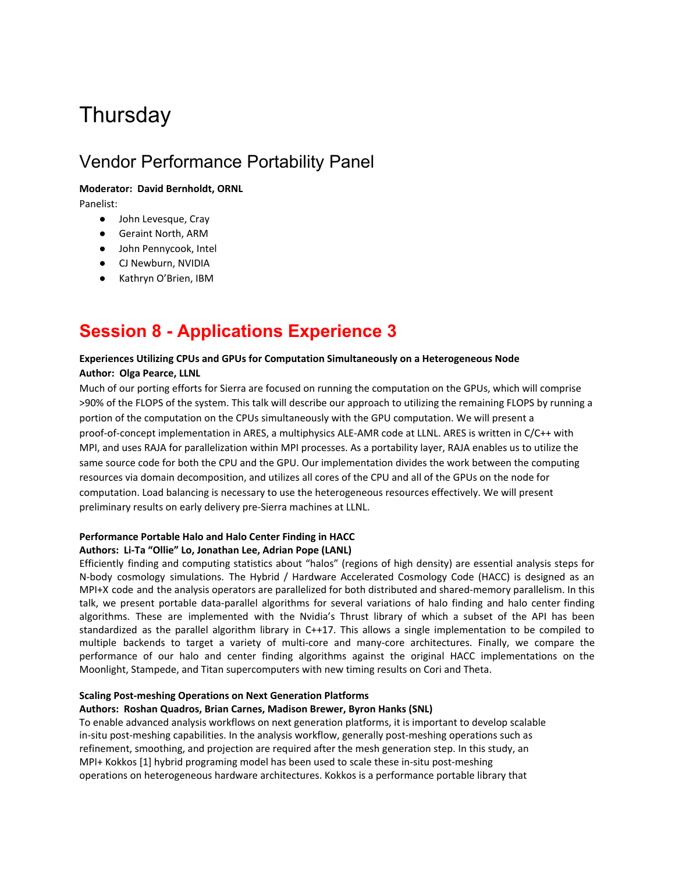# **Thursday**

# Vendor Performance Portability Panel

#### **Moderator: David Bernholdt, ORNL**

Panelist:

- John Levesque, Cray
- Geraint North, ARM
- John Pennycook, Intel
- CJ Newburn, NVIDIA
- Kathryn O'Brien, IBM

# **Session 8 - Applications Experience 3**

## **Experiences Utilizing CPUs and GPUs for Computation Simultaneously on a Heterogeneous Node Author: Olga Pearce, LLNL**

Much of our porting efforts for Sierra are focused on running the computation on the GPUs, which will comprise >90% of the FLOPS of the system. This talk will describe our approach to utilizing the remaining FLOPS by running a portion of the computation on the CPUs simultaneously with the GPU computation. We will present a proof-of-concept implementation in ARES, a multiphysics ALE-AMR code at LLNL. ARES is written in C/C++ with MPI, and uses RAJA for parallelization within MPI processes. As a portability layer, RAJA enables us to utilize the same source code for both the CPU and the GPU. Our implementation divides the work between the computing resources via domain decomposition, and utilizes all cores of the CPU and all of the GPUs on the node for computation. Load balancing is necessary to use the heterogeneous resources effectively. We will present preliminary results on early delivery pre-Sierra machines at LLNL.

#### **Performance Portable Halo and Halo Center Finding in HACC Authors: Li-Ta "Ollie" Lo, Jonathan Lee, Adrian Pope (LANL)**

Efficiently finding and computing statistics about "halos" (regions of high density) are essential analysis steps for N-body cosmology simulations. The Hybrid / Hardware Accelerated Cosmology Code (HACC) is designed as an MPI+X code and the analysis operators are parallelized for both distributed and shared-memory parallelism. In this talk, we present portable data-parallel algorithms for several variations of halo finding and halo center finding algorithms. These are implemented with the Nvidia's Thrust library of which a subset of the API has been standardized as the parallel algorithm library in C++17. This allows a single implementation to be compiled to multiple backends to target a variety of multi-core and many-core architectures. Finally, we compare the performance of our halo and center finding algorithms against the original HACC implementations on the Moonlight, Stampede, and Titan supercomputers with new timing results on Cori and Theta.

## **Scaling Post-meshing Operations on Next Generation Platforms**

## **Authors: Roshan Quadros, Brian Carnes, Madison Brewer, Byron Hanks (SNL)**

To enable advanced analysis workflows on next generation platforms, it is important to develop scalable in-situ post-meshing capabilities. In the analysis workflow, generally post-meshing operations such as refinement, smoothing, and projection are required after the mesh generation step. In this study, an MPI+ Kokkos [1] hybrid programing model has been used to scale these in-situ post-meshing operations on heterogeneous hardware architectures. Kokkos is a performance portable library that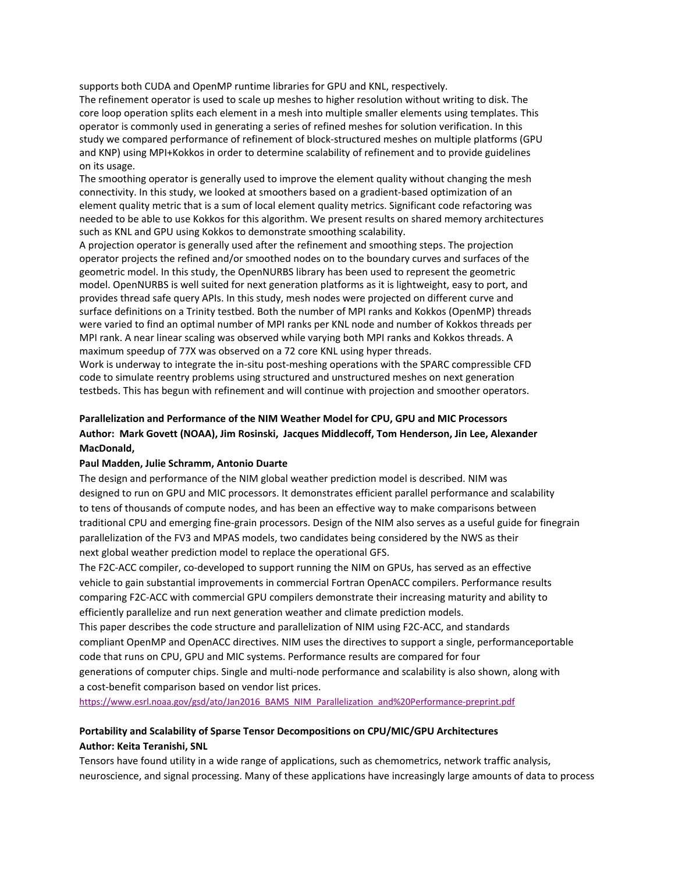supports both CUDA and OpenMP runtime libraries for GPU and KNL, respectively. The refinement operator is used to scale up meshes to higher resolution without writing to disk. The core loop operation splits each element in a mesh into multiple smaller elements using templates. This operator is commonly used in generating a series of refined meshes for solution verification. In this study we compared performance of refinement of block-structured meshes on multiple platforms (GPU and KNP) using MPI+Kokkos in order to determine scalability of refinement and to provide guidelines on its usage.

The smoothing operator is generally used to improve the element quality without changing the mesh connectivity. In this study, we looked at smoothers based on a gradient-based optimization of an element quality metric that is a sum of local element quality metrics. Significant code refactoring was needed to be able to use Kokkos for this algorithm. We present results on shared memory architectures such as KNL and GPU using Kokkos to demonstrate smoothing scalability.

A projection operator is generally used after the refinement and smoothing steps. The projection operator projects the refined and/or smoothed nodes on to the boundary curves and surfaces of the geometric model. In this study, the OpenNURBS library has been used to represent the geometric model. OpenNURBS is well suited for next generation platforms as it is lightweight, easy to port, and provides thread safe query APIs. In this study, mesh nodes were projected on different curve and surface definitions on a Trinity testbed. Both the number of MPI ranks and Kokkos (OpenMP) threads were varied to find an optimal number of MPI ranks per KNL node and number of Kokkos threads per MPI rank. A near linear scaling was observed while varying both MPI ranks and Kokkos threads. A maximum speedup of 77X was observed on a 72 core KNL using hyper threads.

Work is underway to integrate the in-situ post-meshing operations with the SPARC compressible CFD code to simulate reentry problems using structured and unstructured meshes on next generation testbeds. This has begun with refinement and will continue with projection and smoother operators.

## **Parallelization and Performance of the NIM Weather Model for CPU, GPU and MIC Processors Author: Mark Govett (NOAA), Jim Rosinski, Jacques Middlecoff, Tom Henderson, Jin Lee, Alexander MacDonald,**

#### **Paul Madden, Julie Schramm, Antonio Duarte**

The design and performance of the NIM global weather prediction model is described. NIM was designed to run on GPU and MIC processors. It demonstrates efficient parallel performance and scalability to tens of thousands of compute nodes, and has been an effective way to make comparisons between traditional CPU and emerging fine-grain processors. Design of the NIM also serves as a useful guide for finegrain parallelization of the FV3 and MPAS models, two candidates being considered by the NWS as their next global weather prediction model to replace the operational GFS.

The F2C-ACC compiler, co-developed to support running the NIM on GPUs, has served as an effective vehicle to gain substantial improvements in commercial Fortran OpenACC compilers. Performance results comparing F2C-ACC with commercial GPU compilers demonstrate their increasing maturity and ability to efficiently parallelize and run next generation weather and climate prediction models.

This paper describes the code structure and parallelization of NIM using F2C-ACC, and standards compliant OpenMP and OpenACC directives. NIM uses the directives to support a single, performanceportable code that runs on CPU, GPU and MIC systems. Performance results are compared for four generations of computer chips. Single and multi-node performance and scalability is also shown, along with a cost-benefit comparison based on vendor list prices.

[https://www.esrl.noaa.gov/gsd/ato/Jan2016\\_BAMS\\_NIM\\_Parallelization\\_and%20Performance-preprint.pdf](https://www.esrl.noaa.gov/gsd/ato/Jan2016_BAMS_NIM_Parallelization_and%20Performance-preprint.pdf)

## **Portability and Scalability of Sparse Tensor Decompositions on CPU/MIC/GPU Architectures Author: Keita Teranishi, SNL**

Tensors have found utility in a wide range of applications, such as chemometrics, network traffic analysis, neuroscience, and signal processing. Many of these applications have increasingly large amounts of data to process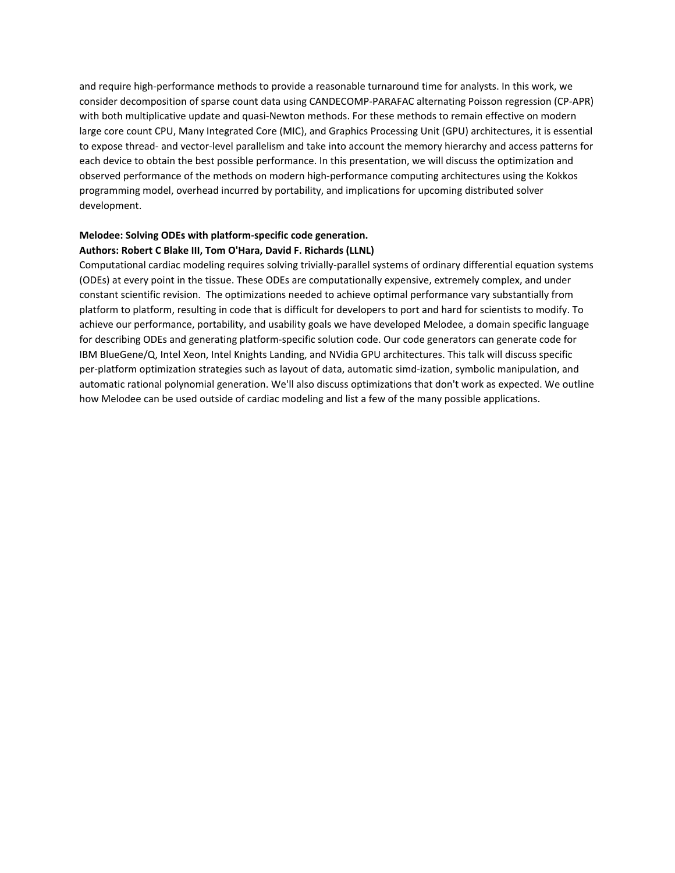and require high-performance methods to provide a reasonable turnaround time for analysts. In this work, we consider decomposition of sparse count data using CANDECOMP-PARAFAC alternating Poisson regression (CP-APR) with both multiplicative update and quasi-Newton methods. For these methods to remain effective on modern large core count CPU, Many Integrated Core (MIC), and Graphics Processing Unit (GPU) architectures, it is essential to expose thread- and vector-level parallelism and take into account the memory hierarchy and access patterns for each device to obtain the best possible performance. In this presentation, we will discuss the optimization and observed performance of the methods on modern high-performance computing architectures using the Kokkos programming model, overhead incurred by portability, and implications for upcoming distributed solver development.

## **Melodee: Solving ODEs with platform-specific code generation. Authors: Robert C Blake III, Tom O'Hara, David F. Richards (LLNL)**

Computational cardiac modeling requires solving trivially-parallel systems of ordinary differential equation systems (ODEs) at every point in the tissue. These ODEs are computationally expensive, extremely complex, and under constant scientific revision. The optimizations needed to achieve optimal performance vary substantially from platform to platform, resulting in code that is difficult for developers to port and hard for scientists to modify. To achieve our performance, portability, and usability goals we have developed Melodee, a domain specific language for describing ODEs and generating platform-specific solution code. Our code generators can generate code for IBM BlueGene/Q, Intel Xeon, Intel Knights Landing, and NVidia GPU architectures. This talk will discuss specific per-platform optimization strategies such as layout of data, automatic simd-ization, symbolic manipulation, and automatic rational polynomial generation. We'll also discuss optimizations that don't work as expected. We outline how Melodee can be used outside of cardiac modeling and list a few of the many possible applications.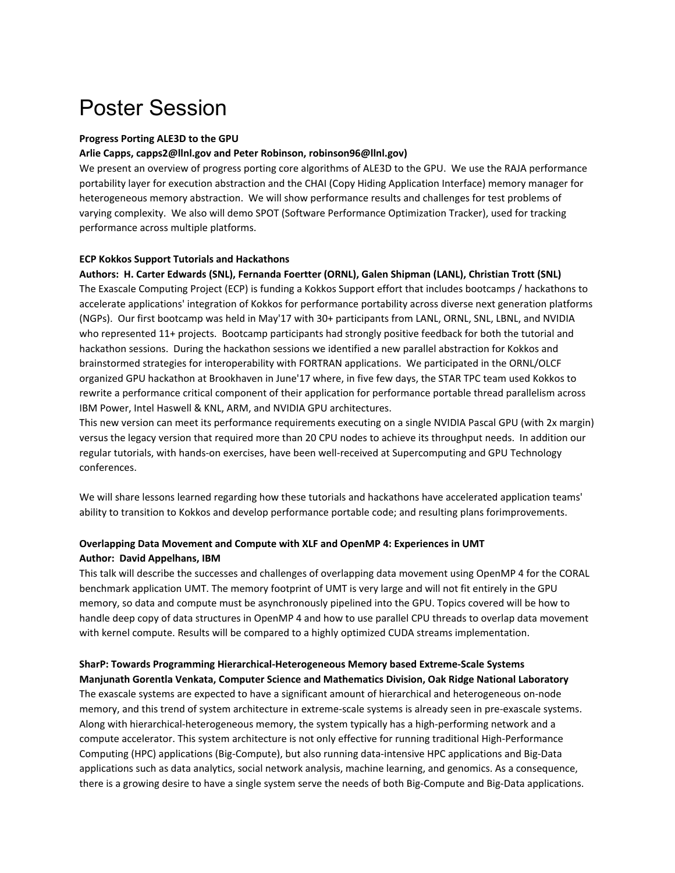# Poster Session

#### **Progress Porting ALE3D to the GPU**

#### **Arlie Capps, capps2@llnl.gov and Peter Robinson, robinson96@llnl.gov)**

We present an overview of progress porting core algorithms of ALE3D to the GPU. We use the RAJA performance portability layer for execution abstraction and the CHAI (Copy Hiding Application Interface) memory manager for heterogeneous memory abstraction. We will show performance results and challenges for test problems of varying complexity. We also will demo SPOT (Software Performance Optimization Tracker), used for tracking performance across multiple platforms.

#### **ECP Kokkos Support Tutorials and Hackathons**

#### **Authors: H. Carter Edwards (SNL), Fernanda Foertter (ORNL), Galen Shipman (LANL), Christian Trott (SNL)**

The Exascale Computing Project (ECP) is funding a Kokkos Support effort that includes bootcamps / hackathons to accelerate applications' integration of Kokkos for performance portability across diverse next generation platforms (NGPs). Our first bootcamp was held in May'17 with 30+ participants from LANL, ORNL, SNL, LBNL, and NVIDIA who represented 11+ projects. Bootcamp participants had strongly positive feedback for both the tutorial and hackathon sessions. During the hackathon sessions we identified a new parallel abstraction for Kokkos and brainstormed strategies for interoperability with FORTRAN applications. We participated in the ORNL/OLCF organized GPU hackathon at Brookhaven in June'17 where, in five few days, the STAR TPC team used Kokkos to rewrite a performance critical component of their application for performance portable thread parallelism across IBM Power, Intel Haswell & KNL, ARM, and NVIDIA GPU architectures.

This new version can meet its performance requirements executing on a single NVIDIA Pascal GPU (with 2x margin) versus the legacy version that required more than 20 CPU nodes to achieve its throughput needs. In addition our regular tutorials, with hands-on exercises, have been well-received at Supercomputing and GPU Technology conferences.

We will share lessons learned regarding how these tutorials and hackathons have accelerated application teams' ability to transition to Kokkos and develop performance portable code; and resulting plans forimprovements.

## **Overlapping Data Movement and Compute with XLF and OpenMP 4: Experiences in UMT Author: David Appelhans, IBM**

This talk will describe the successes and challenges of overlapping data movement using OpenMP 4 for the CORAL benchmark application UMT. The memory footprint of UMT is very large and will not fit entirely in the GPU memory, so data and compute must be asynchronously pipelined into the GPU. Topics covered will be how to handle deep copy of data structures in OpenMP 4 and how to use parallel CPU threads to overlap data movement with kernel compute. Results will be compared to a highly optimized CUDA streams implementation.

## **SharP: Towards Programming Hierarchical-Heterogeneous Memory based Extreme-Scale Systems Manjunath Gorentla Venkata, Computer Science and Mathematics Division, Oak Ridge National Laboratory**

The exascale systems are expected to have a significant amount of hierarchical and heterogeneous on-node memory, and this trend of system architecture in extreme-scale systems is already seen in pre-exascale systems. Along with hierarchical-heterogeneous memory, the system typically has a high-performing network and a compute accelerator. This system architecture is not only effective for running traditional High-Performance Computing (HPC) applications (Big-Compute), but also running data-intensive HPC applications and Big-Data applications such as data analytics, social network analysis, machine learning, and genomics. As a consequence, there is a growing desire to have a single system serve the needs of both Big-Compute and Big-Data applications.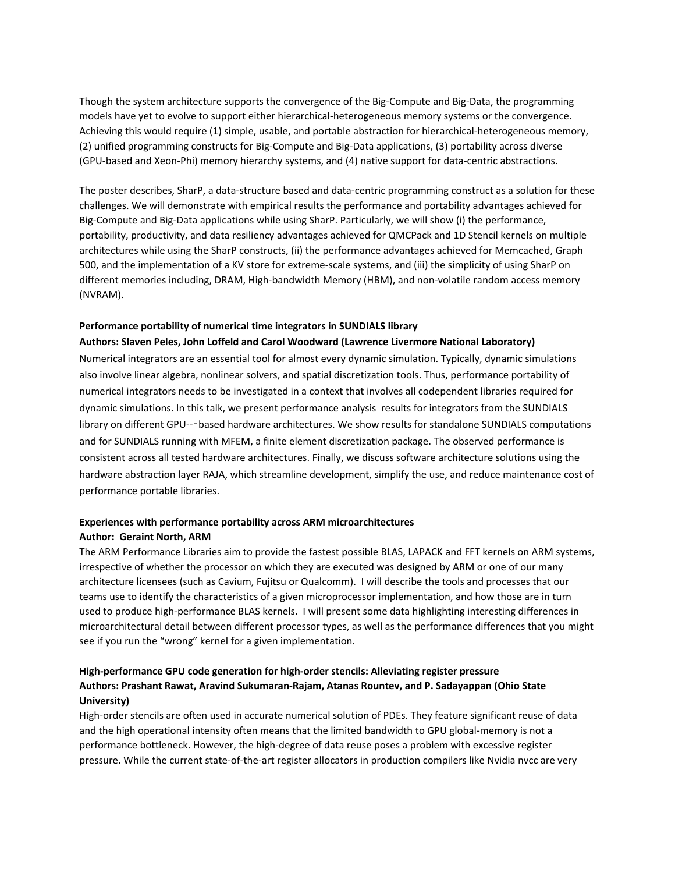Though the system architecture supports the convergence of the Big-Compute and Big-Data, the programming models have yet to evolve to support either hierarchical-heterogeneous memory systems or the convergence. Achieving this would require (1) simple, usable, and portable abstraction for hierarchical-heterogeneous memory, (2) unified programming constructs for Big-Compute and Big-Data applications, (3) portability across diverse (GPU-based and Xeon-Phi) memory hierarchy systems, and (4) native support for data-centric abstractions.

The poster describes, SharP, a data-structure based and data-centric programming construct as a solution for these challenges. We will demonstrate with empirical results the performance and portability advantages achieved for Big-Compute and Big-Data applications while using SharP. Particularly, we will show (i) the performance, portability, productivity, and data resiliency advantages achieved for QMCPack and 1D Stencil kernels on multiple architectures while using the SharP constructs, (ii) the performance advantages achieved for Memcached, Graph 500, and the implementation of a KV store for extreme-scale systems, and (iii) the simplicity of using SharP on different memories including, DRAM, High-bandwidth Memory (HBM), and non-volatile random access memory (NVRAM).

## **Performance portability of numerical time integrators in SUNDIALS library**

**Authors: Slaven Peles, John Loffeld and Carol Woodward (Lawrence Livermore National Laboratory)** Numerical integrators are an essential tool for almost every dynamic simulation. Typically, dynamic simulations also involve linear algebra, nonlinear solvers, and spatial discretization tools. Thus, performance portability of numerical integrators needs to be investigated in a context that involves all codependent libraries required for dynamic simulations. In this talk, we present performance analysis results for integrators from the SUNDIALS library on different GPU--‑based hardware architectures. We show results for standalone SUNDIALS computations and for SUNDIALS running with MFEM, a finite element discretization package. The observed performance is consistent across all tested hardware architectures. Finally, we discuss software architecture solutions using the hardware abstraction layer RAJA, which streamline development, simplify the use, and reduce maintenance cost of performance portable libraries.

## **Experiences with performance portability across ARM microarchitectures Author: Geraint North, ARM**

The ARM Performance Libraries aim to provide the fastest possible BLAS, LAPACK and FFT kernels on ARM systems, irrespective of whether the processor on which they are executed was designed by ARM or one of our many architecture licensees (such as Cavium, Fujitsu or Qualcomm). I will describe the tools and processes that our teams use to identify the characteristics of a given microprocessor implementation, and how those are in turn used to produce high-performance BLAS kernels. I will present some data highlighting interesting differences in microarchitectural detail between different processor types, as well as the performance differences that you might see if you run the "wrong" kernel for a given implementation.

## **High-performance GPU code generation for high-order stencils: Alleviating register pressure Authors: Prashant Rawat, Aravind Sukumaran-Rajam, Atanas Rountev, and P. Sadayappan (Ohio State University)**

High-order stencils are often used in accurate numerical solution of PDEs. They feature significant reuse of data and the high operational intensity often means that the limited bandwidth to GPU global-memory is not a performance bottleneck. However, the high-degree of data reuse poses a problem with excessive register pressure. While the current state-of-the-art register allocators in production compilers like Nvidia nvcc are very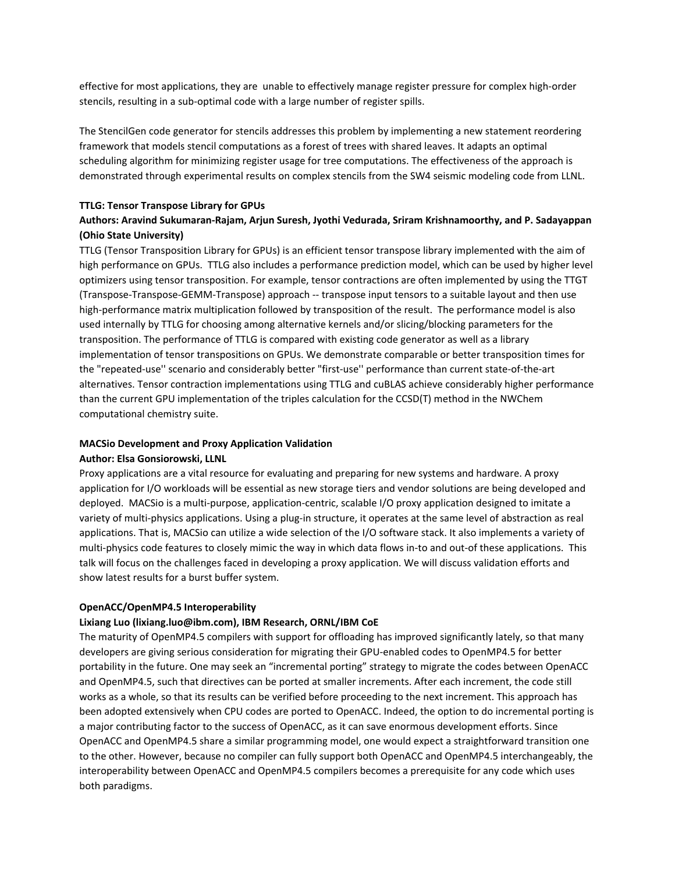effective for most applications, they are unable to effectively manage register pressure for complex high-order stencils, resulting in a sub-optimal code with a large number of register spills.

The StencilGen code generator for stencils addresses this problem by implementing a new statement reordering framework that models stencil computations as a forest of trees with shared leaves. It adapts an optimal scheduling algorithm for minimizing register usage for tree computations. The effectiveness of the approach is demonstrated through experimental results on complex stencils from the SW4 seismic modeling code from LLNL.

#### **TTLG: Tensor Transpose Library for GPUs**

## **Authors: Aravind Sukumaran-Rajam, Arjun Suresh, Jyothi Vedurada, Sriram Krishnamoorthy, and P. Sadayappan (Ohio State University)**

TTLG (Tensor Transposition Library for GPUs) is an efficient tensor transpose library implemented with the aim of high performance on GPUs. TTLG also includes a performance prediction model, which can be used by higher level optimizers using tensor transposition. For example, tensor contractions are often implemented by using the TTGT (Transpose-Transpose-GEMM-Transpose) approach -- transpose input tensors to a suitable layout and then use high-performance matrix multiplication followed by transposition of the result. The performance model is also used internally by TTLG for choosing among alternative kernels and/or slicing/blocking parameters for the transposition. The performance of TTLG is compared with existing code generator as well as a library implementation of tensor transpositions on GPUs. We demonstrate comparable or better transposition times for the "repeated-use'' scenario and considerably better "first-use'' performance than current state-of-the-art alternatives. Tensor contraction implementations using TTLG and cuBLAS achieve considerably higher performance than the current GPU implementation of the triples calculation for the CCSD(T) method in the NWChem computational chemistry suite.

#### **MACSio Development and Proxy Application Validation**

#### **Author: Elsa Gonsiorowski, LLNL**

Proxy applications are a vital resource for evaluating and preparing for new systems and hardware. A proxy application for I/O workloads will be essential as new storage tiers and vendor solutions are being developed and deployed. MACSio is a multi-purpose, application-centric, scalable I/O proxy application designed to imitate a variety of multi-physics applications. Using a plug-in structure, it operates at the same level of abstraction as real applications. That is, MACSio can utilize a wide selection of the I/O software stack. It also implements a variety of multi-physics code features to closely mimic the way in which data flows in-to and out-of these applications. This talk will focus on the challenges faced in developing a proxy application. We will discuss validation efforts and show latest results for a burst buffer system.

#### **OpenACC/OpenMP4.5 Interoperability**

#### **Lixiang Luo (lixiang.luo@ibm.com), IBM Research, ORNL/IBM CoE**

The maturity of OpenMP4.5 compilers with support for offloading has improved significantly lately, so that many developers are giving serious consideration for migrating their GPU-enabled codes to OpenMP4.5 for better portability in the future. One may seek an "incremental porting" strategy to migrate the codes between OpenACC and OpenMP4.5, such that directives can be ported at smaller increments. After each increment, the code still works as a whole, so that its results can be verified before proceeding to the next increment. This approach has been adopted extensively when CPU codes are ported to OpenACC. Indeed, the option to do incremental porting is a major contributing factor to the success of OpenACC, as it can save enormous development efforts. Since OpenACC and OpenMP4.5 share a similar programming model, one would expect a straightforward transition one to the other. However, because no compiler can fully support both OpenACC and OpenMP4.5 interchangeably, the interoperability between OpenACC and OpenMP4.5 compilers becomes a prerequisite for any code which uses both paradigms.